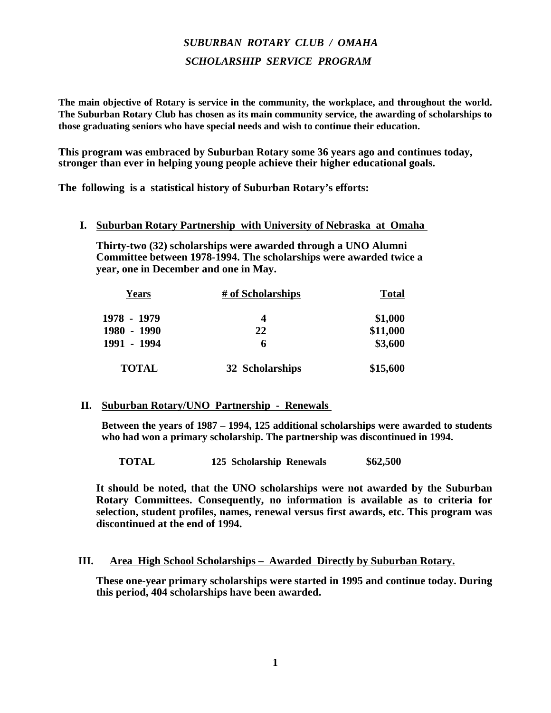# *SUBURBAN ROTARY CLUB / OMAHA SCHOLARSHIP SERVICE PROGRAM*

**The main objective of Rotary is service in the community, the workplace, and throughout the world. The Suburban Rotary Club has chosen as its main community service, the awarding of scholarships to those graduating seniors who have special needs and wish to continue their education.**

**This program was embraced by Suburban Rotary some 36 years ago and continues today, stronger than ever in helping young people achieve their higher educational goals.**

**The following is a statistical history of Suburban Rotary's efforts:**

## **I. Suburban Rotary Partnership with University of Nebraska at Omaha**

**Thirty-two (32) scholarships were awarded through a UNO Alumni Committee between 1978-1994. The scholarships were awarded twice a year, one in December and one in May.** 

| Years        | # of Scholarships | <b>Total</b> |  |
|--------------|-------------------|--------------|--|
| 1978 - 1979  | 4                 | \$1,000      |  |
| 1980 - 1990  | 22                | \$11,000     |  |
| 1991 - 1994  | 6                 | \$3,600      |  |
| <b>TOTAL</b> | 32 Scholarships   | \$15,600     |  |

### **II. Suburban Rotary/UNO Partnership - Renewals**

**Between the years of 1987 – 1994, 125 additional scholarships were awarded to students who had won a primary scholarship. The partnership was discontinued in 1994.** 

**TOTAL 125 Scholarship Renewals \$62,500**

**It should be noted, that the UNO scholarships were not awarded by the Suburban Rotary Committees. Consequently, no information is available as to criteria for selection, student profiles, names, renewal versus first awards, etc. This program was discontinued at the end of 1994.**

### **III. Area High School Scholarships – Awarded Directly by Suburban Rotary.**

**These one-year primary scholarships were started in 1995 and continue today. During this period, 404 scholarships have been awarded.**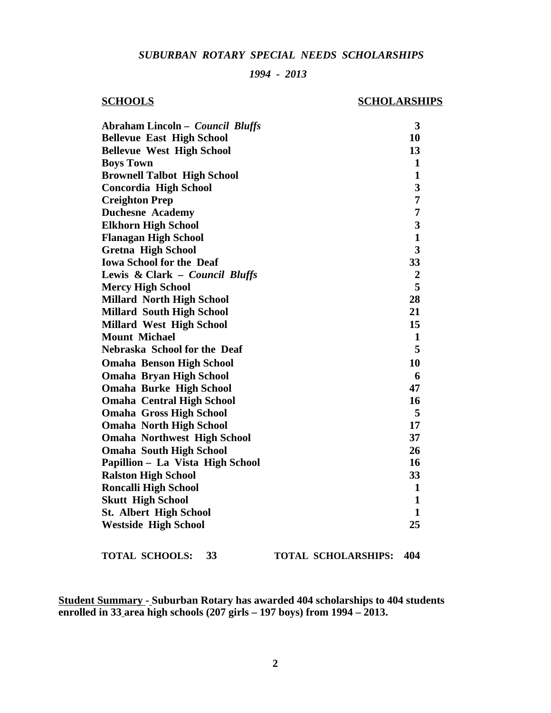### *SUBURBAN ROTARY SPECIAL NEEDS SCHOLARSHIPS*

### *1994 - 2013*

## **SCHOOLS SCHOLARSHIPS**

| Abraham Lincoln – Council Bluffs   | 3                       |
|------------------------------------|-------------------------|
| <b>Bellevue East High School</b>   | 10                      |
| <b>Bellevue West High School</b>   | 13                      |
| <b>Boys Town</b>                   | $\mathbf{1}$            |
| <b>Brownell Talbot High School</b> | 1                       |
| Concordia High School              | 3                       |
| <b>Creighton Prep</b>              | 7                       |
| <b>Duchesne Academy</b>            | 7                       |
| <b>Elkhorn High School</b>         | $\overline{\mathbf{3}}$ |
| <b>Flanagan High School</b>        | $\mathbf{1}$            |
| <b>Gretna High School</b>          | $\overline{\mathbf{3}}$ |
| <b>Iowa School for the Deaf</b>    | 33                      |
| Lewis & Clark - Council Bluffs     | $\boldsymbol{2}$        |
| <b>Mercy High School</b>           | 5                       |
| <b>Millard North High School</b>   | 28                      |
| <b>Millard South High School</b>   | 21                      |
| <b>Millard West High School</b>    | 15                      |
| <b>Mount Michael</b>               | $\mathbf{1}$            |
| Nebraska School for the Deaf       | 5                       |
| <b>Omaha Benson High School</b>    | 10                      |
| <b>Omaha Bryan High School</b>     | 6                       |
| <b>Omaha Burke High School</b>     | 47                      |
| <b>Omaha Central High School</b>   | 16                      |
| <b>Omaha Gross High School</b>     | 5                       |
| <b>Omaha North High School</b>     | 17                      |
| <b>Omaha Northwest High School</b> | 37                      |
| <b>Omaha South High School</b>     | 26                      |
| Papillion – La Vista High School   | 16                      |
| <b>Ralston High School</b>         | 33                      |
| <b>Roncalli High School</b>        | $\mathbf{1}$            |
| <b>Skutt High School</b>           | 1                       |
| <b>St. Albert High School</b>      | $\mathbf{1}$            |
| <b>Westside High School</b>        | 25                      |
|                                    |                         |

**TOTAL SCHOOLS: 33 TOTAL SCHOLARSHIPS: 404**

**Student Summary - Suburban Rotary has awarded 404 scholarships to 404 students enrolled in 33 area high schools (207 girls – 197 boys) from 1994 – 2013.**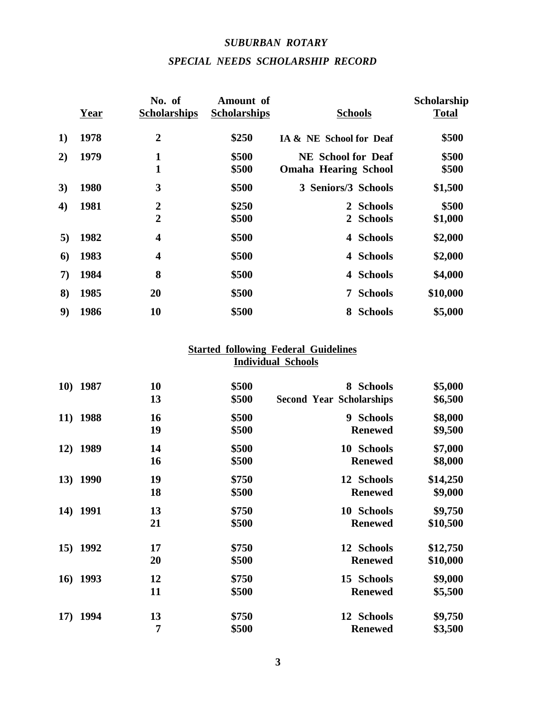# *SUBURBAN ROTARY SPECIAL NEEDS SCHOLARSHIP RECORD*

|                  | Year | No. of<br><b>Scholarships</b>    | Amount of<br><b>Scholarships</b> | <b>Schools</b>                                           | Scholarship<br><b>Total</b> |
|------------------|------|----------------------------------|----------------------------------|----------------------------------------------------------|-----------------------------|
| 1)               | 1978 | $\overline{2}$                   | \$250                            | IA & NE School for Deaf                                  | \$500                       |
| 2)               | 1979 | 1<br>$\mathbf{1}$                | \$500<br>\$500                   | <b>NE School for Deaf</b><br><b>Omaha Hearing School</b> | \$500<br>\$500              |
| 3)               | 1980 | 3                                | \$500                            | 3 Seniors/3 Schools                                      | \$1,500                     |
| $\boldsymbol{4}$ | 1981 | $\overline{2}$<br>$\overline{2}$ | \$250<br>\$500                   | <b>Schools</b><br>$\mathbf{2}$<br><b>Schools</b><br>2    | \$500<br>\$1,000            |
| 5)               | 1982 | $\overline{\mathbf{4}}$          | \$500                            | <b>Schools</b><br>4                                      | \$2,000                     |
| 6)               | 1983 | $\overline{\mathbf{4}}$          | \$500                            | <b>Schools</b><br>4                                      | \$2,000                     |
| 7)               | 1984 | 8                                | \$500                            | <b>Schools</b><br>4                                      | \$4,000                     |
| 8)               | 1985 | 20                               | \$500                            | <b>Schools</b><br>$\overline{7}$                         | \$10,000                    |
| 9)               | 1986 | 10                               | \$500                            | 8 Schools                                                | \$5,000                     |

# **Started following Federal Guidelines Individual Schools**

| 10) 1987            | 10 | \$500 | 8 Schools                       | \$5,000  |
|---------------------|----|-------|---------------------------------|----------|
|                     | 13 | \$500 | <b>Second Year Scholarships</b> | \$6,500  |
| 11) 1988            | 16 | \$500 | 9 Schools                       | \$8,000  |
|                     | 19 | \$500 | <b>Renewed</b>                  | \$9,500  |
| 1989<br><b>12</b> ) | 14 | \$500 | 10 Schools                      | \$7,000  |
|                     | 16 | \$500 | <b>Renewed</b>                  | \$8,000  |
| 13) 1990            | 19 | \$750 | 12 Schools                      | \$14,250 |
|                     | 18 | \$500 | <b>Renewed</b>                  | \$9,000  |
| 1991<br>14)         | 13 | \$750 | 10 Schools                      | \$9,750  |
|                     | 21 | \$500 | <b>Renewed</b>                  | \$10,500 |
| 15) 1992            | 17 | \$750 | 12 Schools                      | \$12,750 |
|                     | 20 | \$500 | <b>Renewed</b>                  | \$10,000 |
| 1993<br>16)         | 12 | \$750 | 15 Schools                      | \$9,000  |
|                     | 11 | \$500 | <b>Renewed</b>                  | \$5,500  |
| 1994<br>17)         | 13 | \$750 | 12 Schools                      | \$9,750  |
|                     | 7  | \$500 | <b>Renewed</b>                  | \$3,500  |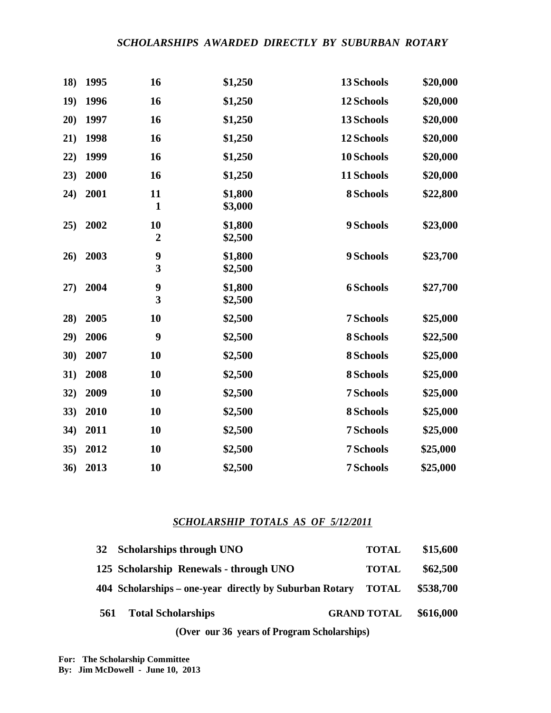# *SCHOLARSHIPS AWARDED DIRECTLY BY SUBURBAN ROTARY*

| 18)  | 1995 | 16                                          | \$1,250            | 13 Schools       | \$20,000 |
|------|------|---------------------------------------------|--------------------|------------------|----------|
| 19)  | 1996 | 16                                          | \$1,250            | 12 Schools       | \$20,000 |
| 20)  | 1997 | 16                                          | \$1,250            | 13 Schools       | \$20,000 |
| 21)  | 1998 | 16                                          | \$1,250            | 12 Schools       | \$20,000 |
| (22) | 1999 | 16                                          | \$1,250            | 10 Schools       | \$20,000 |
| 23)  | 2000 | 16                                          | \$1,250            | 11 Schools       | \$20,000 |
| 24)  | 2001 | 11<br>$\mathbf{1}$                          | \$1,800<br>\$3,000 | 8 Schools        | \$22,800 |
| 25)  | 2002 | 10<br>$\boldsymbol{2}$                      | \$1,800<br>\$2,500 | 9 Schools        | \$23,000 |
| 26)  | 2003 | $\boldsymbol{9}$<br>3                       | \$1,800<br>\$2,500 | 9 Schools        | \$23,700 |
| 27)  | 2004 | $\boldsymbol{9}$<br>$\overline{\mathbf{3}}$ | \$1,800<br>\$2,500 | <b>6 Schools</b> | \$27,700 |
| 28)  | 2005 | 10                                          | \$2,500            | 7 Schools        | \$25,000 |
| 29)  | 2006 | 9                                           | \$2,500            | 8 Schools        | \$22,500 |
| 30)  | 2007 | 10                                          | \$2,500            | 8 Schools        | \$25,000 |
| 31)  | 2008 | 10                                          | \$2,500            | 8 Schools        | \$25,000 |
| 32)  | 2009 | 10                                          | \$2,500            | 7 Schools        | \$25,000 |
| 33)  | 2010 | 10                                          | \$2,500            | 8 Schools        | \$25,000 |
| 34)  | 2011 | 10                                          | \$2,500            | 7 Schools        | \$25,000 |
| 35)  | 2012 | 10                                          | \$2,500            | 7 Schools        | \$25,000 |
| 36)  | 2013 | 10                                          | \$2,500            | 7 Schools        | \$25,000 |

# *SCHOLARSHIP TOTALS AS OF 5/12/2011*

|     | (Over our 36 years of Program Scholarships)                   |                    |           |
|-----|---------------------------------------------------------------|--------------------|-----------|
| 561 | <b>Total Scholarships</b>                                     | <b>GRAND TOTAL</b> | \$616,000 |
|     | 404 Scholarships – one-year directly by Suburban Rotary TOTAL |                    | \$538,700 |
|     | 125 Scholarship Renewals - through UNO                        | <b>TOTAL</b>       | \$62,500  |
|     | 32 Scholarships through UNO                                   | <b>TOTAL</b>       | \$15,600  |

**For: The Scholarship Committee By: Jim McDowell - June 10, 2013**